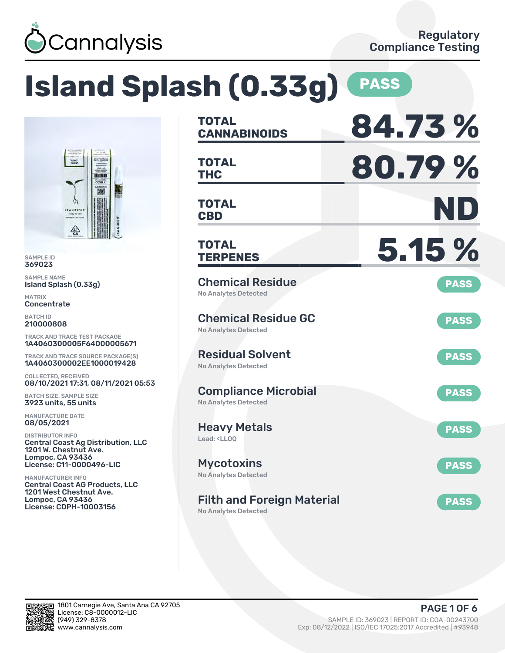

### **Island Splash (0.33g) PASS TOTAL CANNABINOIDS 84.73 % TOTAL THC 80.79 % TOTAL CBD ND TOTAL TERPENES 5.15 %** Chemical Residue No Analytes Detected **PASS** Chemical Residue GC No Analytes Detected **PASS** Residual Solvent No Analytes Detected **PASS** Compliance Microbial No Analytes Detected **PASS** Heavy Metals Lead: <LLOQ **PASS** Mycotoxins No Analytes Detected **PASS** Filth and Foreign Material No Analytes Detected **PASS** 1A4060300005F64000005671 TRACK AND TRACE SOURCE PACKAGE(S) 1A4060300002EE1000019428 08/10/2021 17:31, 08/11/2021 05:53 Central Coast Ag Distribution, LLC Central Coast AG Products, LLC

SAMPLE ID 369023 SAMPLE NAME

MATRIX **Concentrate** BATCH ID 210000808

Island Splash (0.33g)

COLLECTED, RECEIVED

BATCH SIZE, SAMPLE SIZE 3923 units, 55 units MANUFACTURE DATE 08/05/2021 DISTRIBUTOR INFO

1201 W. Chestnut Ave. Lompoc, CA 93436 License: C11-0000496-LIC

1201 West Chestnut Ave. Lompoc, CA 93436 License: CDPH-10003156

MANUFACTURER INFO

TRACK AND TRACE TEST PACKAGE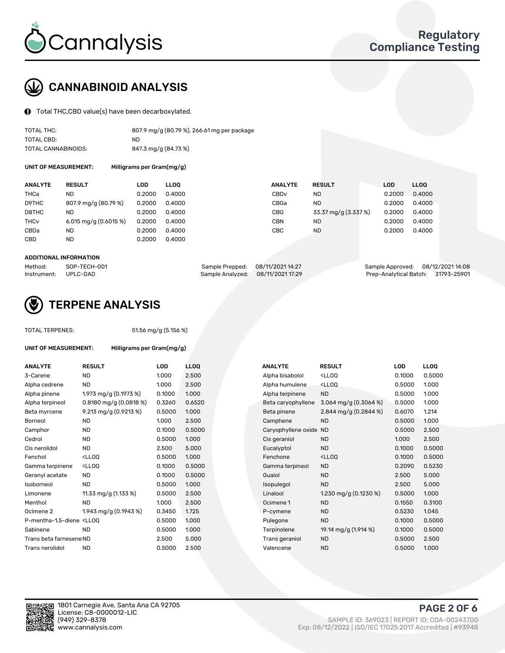

# CANNABINOID ANALYSIS

Total THC,CBD value(s) have been decarboxylated.

| TOTAL THC:          | 807.9 mg/g (80.79 %), 266.61 mg per package |
|---------------------|---------------------------------------------|
| TOTAL CBD:          | ND.                                         |
| TOTAL CANNABINOIDS: | 847.3 mg/g (84.73 %)                        |

UNIT OF MEASUREMENT: Milligrams per Gram(mg/g)

| <b>ANALYTE</b>         | <b>RESULT</b>           | LOD    | <b>LLOO</b> | <b>ANALYTE</b>   | <b>RESULT</b>        | <b>LOD</b> | LLOO   |
|------------------------|-------------------------|--------|-------------|------------------|----------------------|------------|--------|
| THCa                   | ND                      | 0.2000 | 0.4000      | CBD <sub>v</sub> | ND                   | 0.2000     | 0.4000 |
| D9THC                  | 807.9 mg/g (80.79 %)    | 0.2000 | 0.4000      | CBGa             | ND.                  | 0.2000     | 0.4000 |
| D8THC                  | <b>ND</b>               | 0.2000 | 0.4000      | CBG              | 33.37 mg/g (3.337 %) | 0.2000     | 0.4000 |
| <b>THC<sub>v</sub></b> | 6.015 mg/g $(0.6015\%)$ | 0.2000 | 0.4000      | CBN              | ND.                  | 0.2000     | 0.4000 |
| CBDa                   | <b>ND</b>               | 0.2000 | 0.4000      | CBC              | ND.                  | 0.2000     | 0.4000 |
| CBD                    | <b>ND</b>               | 0.2000 | 0.4000      |                  |                      |            |        |
|                        |                         |        |             |                  |                      |            |        |

#### ADDITIONAL INFORMATION

| Method:              | SOP-TECH-001 | Sample Prepped: 08/11/2021 14:27  | Sample Approved: 08/12/2021 14:08  |  |
|----------------------|--------------|-----------------------------------|------------------------------------|--|
| Instrument: UPLC-DAD |              | Sample Analyzed: 08/11/2021 17:29 | Prep-Analytical Batch: 31793-25901 |  |



## TERPENE ANALYSIS

TOTAL TERPENES: 51.56 mg/g (5.156 %)

| UNIT OF MEASUREMENT:                                                           |                                                    | Milligrams per Gram(mg/g) |       |  |  |  |  |
|--------------------------------------------------------------------------------|----------------------------------------------------|---------------------------|-------|--|--|--|--|
| <b>ANALYTE</b>                                                                 | <b>RESULT</b>                                      | <b>LOD</b>                | LLOQ  |  |  |  |  |
| 3-Carene                                                                       | <b>ND</b>                                          | 1.000                     | 2.500 |  |  |  |  |
| Alpha cedrene                                                                  | <b>ND</b>                                          | 1.000                     | 2.500 |  |  |  |  |
| Alpha pinene                                                                   | 1.973 mg/g $(0.1973%)$                             | 0.1000                    | 1.000 |  |  |  |  |
| Alpha terpineol                                                                | $0.8180$ mg/g $(0.0818%)$                          | 0.3260                    | 0.652 |  |  |  |  |
| Beta myrcene                                                                   | 9.213 mg/g (0.9213 %)                              | 0.5000                    | 1.000 |  |  |  |  |
| Borneol                                                                        | <b>ND</b>                                          | 1.000                     | 2.500 |  |  |  |  |
| Camphor                                                                        | <b>ND</b>                                          | 0.1000                    | 0.500 |  |  |  |  |
| Cedrol                                                                         | <b>ND</b>                                          | 0.5000                    | 1.000 |  |  |  |  |
| Cis nerolidol                                                                  | ND.                                                | 2.500                     | 5.000 |  |  |  |  |
| Fenchol                                                                        | <lloo< td=""><td>0.5000</td><td>1.000</td></lloo<> | 0.5000                    | 1.000 |  |  |  |  |
| Gamma terpinene                                                                | <lloo< td=""><td>0.1000</td><td>0.500</td></lloo<> | 0.1000                    | 0.500 |  |  |  |  |
| Geranyl acetate                                                                | <b>ND</b>                                          | 0.1000                    | 0.500 |  |  |  |  |
| Isoborneol                                                                     | <b>ND</b>                                          | 0.5000                    | 1.000 |  |  |  |  |
| Limonene                                                                       | 11.33 mg/g (1.133 %)                               | 0.5000                    | 2.500 |  |  |  |  |
| Menthol                                                                        | <b>ND</b>                                          | 1.000                     | 2.500 |  |  |  |  |
| Ocimene <sub>2</sub>                                                           | 1.943 mg/g (0.1943 %)                              | 0.3450                    | 1.725 |  |  |  |  |
| P-mentha-1,5-diene <lloq< td=""><td></td><td>0.5000</td><td>1.000</td></lloq<> |                                                    | 0.5000                    | 1.000 |  |  |  |  |
| Sabinene                                                                       | <b>ND</b>                                          | 0.5000                    | 1.000 |  |  |  |  |
| Trans beta farnesene ND                                                        |                                                    | 2.500                     | 5.000 |  |  |  |  |
| Trans nerolidol                                                                | ND                                                 | 0.5000                    | 2.500 |  |  |  |  |

| ANALYTE                                                                                                                                         | <b>RESULT</b>                                                                                                                   | <b>LOD</b> | <b>LLOQ</b> | <b>ANALYTE</b>         | <b>RESULT</b>                                       | <b>LOD</b> | <b>LLOQ</b> |
|-------------------------------------------------------------------------------------------------------------------------------------------------|---------------------------------------------------------------------------------------------------------------------------------|------------|-------------|------------------------|-----------------------------------------------------|------------|-------------|
| 3-Carene                                                                                                                                        | <b>ND</b>                                                                                                                       | 1.000      | 2.500       | Alpha bisabolol        | <ll0q< td=""><td>0.1000</td><td>0.5000</td></ll0q<> | 0.1000     | 0.5000      |
| Alpha cedrene                                                                                                                                   | <b>ND</b>                                                                                                                       | 1.000      | 2.500       | Alpha humulene         | <lloq< td=""><td>0.5000</td><td>1.000</td></lloq<>  | 0.5000     | 1.000       |
| Alpha pinene                                                                                                                                    | 1.973 mg/g $(0.1973\%)$                                                                                                         | 0.1000     | 1.000       | Alpha terpinene        | <b>ND</b>                                           | 0.5000     | 1.000       |
| Alpha terpineol                                                                                                                                 | $0.8180$ mg/g $(0.0818%)$                                                                                                       | 0.3260     | 0.6520      | Beta caryophyllene     | 3.064 mg/g $(0.3064\%)$                             | 0.5000     | 1.000       |
| Beta myrcene                                                                                                                                    | 9.213 mg/g (0.9213 %)                                                                                                           | 0.5000     | 1.000       | Beta pinene            | 2.844 mg/g $(0.2844\%)$                             | 0.6070     | 1.214       |
| Borneol                                                                                                                                         | <b>ND</b>                                                                                                                       | 1.000      | 2.500       | Camphene               | <b>ND</b>                                           | 0.5000     | 1.000       |
| Camphor                                                                                                                                         | <b>ND</b>                                                                                                                       | 0.1000     | 0.5000      | Caryophyllene oxide ND |                                                     | 0.5000     | 2.500       |
| Cedrol                                                                                                                                          | <b>ND</b>                                                                                                                       | 0.5000     | 1.000       | Cis geraniol           | <b>ND</b>                                           | 1.000      | 2.500       |
| Cis nerolidol                                                                                                                                   | <b>ND</b>                                                                                                                       | 2.500      | 5.000       | Eucalyptol             | <b>ND</b>                                           | 0.1000     | 0.5000      |
| Fenchol                                                                                                                                         | <lloq< td=""><td>0.5000</td><td>1.000</td><td>Fenchone</td><td><ll0q< td=""><td>0.1000</td><td>0.5000</td></ll0q<></td></lloq<> | 0.5000     | 1.000       | Fenchone               | <ll0q< td=""><td>0.1000</td><td>0.5000</td></ll0q<> | 0.1000     | 0.5000      |
| Gamma terpinene                                                                                                                                 | <lloq< td=""><td>0.1000</td><td>0.5000</td><td>Gamma terpineol</td><td><b>ND</b></td><td>0.2090</td><td>0.5230</td></lloq<>     | 0.1000     | 0.5000      | Gamma terpineol        | <b>ND</b>                                           | 0.2090     | 0.5230      |
| Geranyl acetate                                                                                                                                 | ND.                                                                                                                             | 0.1000     | 0.5000      | Guaiol                 | <b>ND</b>                                           | 2.500      | 5.000       |
| Isoborneol                                                                                                                                      | <b>ND</b>                                                                                                                       | 0.5000     | 1.000       | Isopulegol             | <b>ND</b>                                           | 2.500      | 5.000       |
| Limonene                                                                                                                                        | 11.33 mg/g (1.133 %)                                                                                                            | 0.5000     | 2.500       | Linalool               | 1.230 mg/g $(0.1230\%)$                             | 0.5000     | 1.000       |
| Menthol                                                                                                                                         | ND.                                                                                                                             | 1.000      | 2.500       | Ocimene 1              | <b>ND</b>                                           | 0.1550     | 0.3100      |
| Ocimene 2                                                                                                                                       | 1.943 mg/g (0.1943 %)                                                                                                           | 0.3450     | 1.725       | P-cymene               | <b>ND</b>                                           | 0.5230     | 1.045       |
| P-mentha-1,5-diene <lloq< td=""><td></td><td>0.5000</td><td>1.000</td><td>Pulegone</td><td><b>ND</b></td><td>0.1000</td><td>0.5000</td></lloq<> |                                                                                                                                 | 0.5000     | 1.000       | Pulegone               | <b>ND</b>                                           | 0.1000     | 0.5000      |
| Sabinene                                                                                                                                        | <b>ND</b>                                                                                                                       | 0.5000     | 1.000       | Terpinolene            | 19.14 mg/g (1.914 %)                                | 0.1000     | 0.5000      |
| Trans beta farnesene ND                                                                                                                         |                                                                                                                                 | 2.500      | 5.000       | Trans geraniol         | <b>ND</b>                                           | 0.5000     | 2.500       |
| Trans nerolidol                                                                                                                                 | <b>ND</b>                                                                                                                       | 0.5000     | 2.500       | Valencene              | <b>ND</b>                                           | 0.5000     | 1.000       |
|                                                                                                                                                 |                                                                                                                                 |            |             |                        |                                                     |            |             |

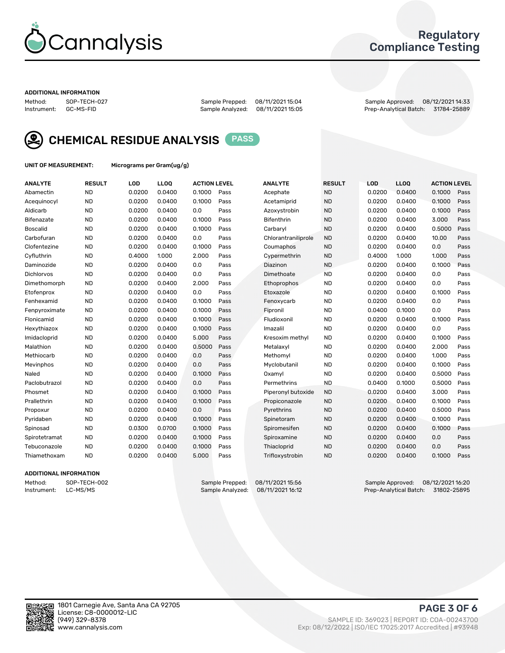

### Regulatory Compliance Testing

#### ADDITIONAL INFORMATION

Method: SOP-TECH-027 Sample Prepped: 08/11/2021 15:04 Sample Approved: 08/12/2021 14:33 Prep-Analytical Batch: 31784-25889



CHEMICAL RESIDUE ANALYSIS PASS

UNIT OF MEASUREMENT: Micrograms per Gram(ug/g)

| <b>ANALYTE</b>    | <b>RESULT</b> | LOD    | <b>LLOQ</b> | <b>ACTION LEVEL</b> |      | <b>ANALYTE</b>      | <b>RESULT</b> | <b>LOD</b> | <b>LLOQ</b> | <b>ACTION LEVEL</b> |      |
|-------------------|---------------|--------|-------------|---------------------|------|---------------------|---------------|------------|-------------|---------------------|------|
| Abamectin         | <b>ND</b>     | 0.0200 | 0.0400      | 0.1000              | Pass | Acephate            | <b>ND</b>     | 0.0200     | 0.0400      | 0.1000              | Pass |
| Acequinocyl       | <b>ND</b>     | 0.0200 | 0.0400      | 0.1000              | Pass | Acetamiprid         | <b>ND</b>     | 0.0200     | 0.0400      | 0.1000              | Pass |
| Aldicarb          | <b>ND</b>     | 0.0200 | 0.0400      | 0.0                 | Pass | Azoxystrobin        | <b>ND</b>     | 0.0200     | 0.0400      | 0.1000              | Pass |
| Bifenazate        | <b>ND</b>     | 0.0200 | 0.0400      | 0.1000              | Pass | <b>Bifenthrin</b>   | <b>ND</b>     | 0.0200     | 0.0400      | 3.000               | Pass |
| <b>Boscalid</b>   | <b>ND</b>     | 0.0200 | 0.0400      | 0.1000              | Pass | Carbarvl            | <b>ND</b>     | 0.0200     | 0.0400      | 0.5000              | Pass |
| Carbofuran        | <b>ND</b>     | 0.0200 | 0.0400      | 0.0                 | Pass | Chlorantraniliprole | <b>ND</b>     | 0.0200     | 0.0400      | 10.00               | Pass |
| Clofentezine      | <b>ND</b>     | 0.0200 | 0.0400      | 0.1000              | Pass | Coumaphos           | <b>ND</b>     | 0.0200     | 0.0400      | 0.0                 | Pass |
| Cyfluthrin        | <b>ND</b>     | 0.4000 | 1.000       | 2.000               | Pass | Cypermethrin        | <b>ND</b>     | 0.4000     | 1.000       | 1.000               | Pass |
| Daminozide        | <b>ND</b>     | 0.0200 | 0.0400      | 0.0                 | Pass | Diazinon            | <b>ND</b>     | 0.0200     | 0.0400      | 0.1000              | Pass |
| <b>Dichlorvos</b> | <b>ND</b>     | 0.0200 | 0.0400      | 0.0                 | Pass | Dimethoate          | <b>ND</b>     | 0.0200     | 0.0400      | 0.0                 | Pass |
| Dimethomorph      | <b>ND</b>     | 0.0200 | 0.0400      | 2.000               | Pass | <b>Ethoprophos</b>  | <b>ND</b>     | 0.0200     | 0.0400      | 0.0                 | Pass |
| Etofenprox        | <b>ND</b>     | 0.0200 | 0.0400      | 0.0                 | Pass | Etoxazole           | <b>ND</b>     | 0.0200     | 0.0400      | 0.1000              | Pass |
| Fenhexamid        | <b>ND</b>     | 0.0200 | 0.0400      | 0.1000              | Pass | Fenoxycarb          | <b>ND</b>     | 0.0200     | 0.0400      | 0.0                 | Pass |
| Fenpyroximate     | <b>ND</b>     | 0.0200 | 0.0400      | 0.1000              | Pass | Fipronil            | <b>ND</b>     | 0.0400     | 0.1000      | 0.0                 | Pass |
| Flonicamid        | <b>ND</b>     | 0.0200 | 0.0400      | 0.1000              | Pass | Fludioxonil         | <b>ND</b>     | 0.0200     | 0.0400      | 0.1000              | Pass |
| Hexythiazox       | <b>ND</b>     | 0.0200 | 0.0400      | 0.1000              | Pass | Imazalil            | <b>ND</b>     | 0.0200     | 0.0400      | 0.0                 | Pass |
| Imidacloprid      | <b>ND</b>     | 0.0200 | 0.0400      | 5.000               | Pass | Kresoxim methyl     | <b>ND</b>     | 0.0200     | 0.0400      | 0.1000              | Pass |
| Malathion         | <b>ND</b>     | 0.0200 | 0.0400      | 0.5000              | Pass | Metalaxyl           | <b>ND</b>     | 0.0200     | 0.0400      | 2.000               | Pass |
| Methiocarb        | <b>ND</b>     | 0.0200 | 0.0400      | 0.0                 | Pass | Methomyl            | <b>ND</b>     | 0.0200     | 0.0400      | 1.000               | Pass |
| Mevinphos         | <b>ND</b>     | 0.0200 | 0.0400      | 0.0                 | Pass | Myclobutanil        | <b>ND</b>     | 0.0200     | 0.0400      | 0.1000              | Pass |
| Naled             | <b>ND</b>     | 0.0200 | 0.0400      | 0.1000              | Pass | Oxamyl              | <b>ND</b>     | 0.0200     | 0.0400      | 0.5000              | Pass |
| Paclobutrazol     | <b>ND</b>     | 0.0200 | 0.0400      | 0.0                 | Pass | Permethrins         | <b>ND</b>     | 0.0400     | 0.1000      | 0.5000              | Pass |
| Phosmet           | <b>ND</b>     | 0.0200 | 0.0400      | 0.1000              | Pass | Piperonyl butoxide  | <b>ND</b>     | 0.0200     | 0.0400      | 3.000               | Pass |
| Prallethrin       | <b>ND</b>     | 0.0200 | 0.0400      | 0.1000              | Pass | Propiconazole       | <b>ND</b>     | 0.0200     | 0.0400      | 0.1000              | Pass |
| Propoxur          | <b>ND</b>     | 0.0200 | 0.0400      | 0.0                 | Pass | Pyrethrins          | <b>ND</b>     | 0.0200     | 0.0400      | 0.5000              | Pass |
| Pyridaben         | <b>ND</b>     | 0.0200 | 0.0400      | 0.1000              | Pass | Spinetoram          | <b>ND</b>     | 0.0200     | 0.0400      | 0.1000              | Pass |
| Spinosad          | <b>ND</b>     | 0.0300 | 0.0700      | 0.1000              | Pass | Spiromesifen        | <b>ND</b>     | 0.0200     | 0.0400      | 0.1000              | Pass |
| Spirotetramat     | <b>ND</b>     | 0.0200 | 0.0400      | 0.1000              | Pass | Spiroxamine         | <b>ND</b>     | 0.0200     | 0.0400      | 0.0                 | Pass |
| Tebuconazole      | <b>ND</b>     | 0.0200 | 0.0400      | 0.1000              | Pass | Thiacloprid         | <b>ND</b>     | 0.0200     | 0.0400      | 0.0                 | Pass |
| Thiamethoxam      | <b>ND</b>     | 0.0200 | 0.0400      | 5.000               | Pass | Trifloxystrobin     | <b>ND</b>     | 0.0200     | 0.0400      | 0.1000              | Pass |

### ADDITIONAL INFORMATION

Method: SOP-TECH-002 Sample Prepped: 08/11/2021 15:56 Sample Approved: 08/12/2021 16:20 Prep-Analytical Batch: 31802-25895

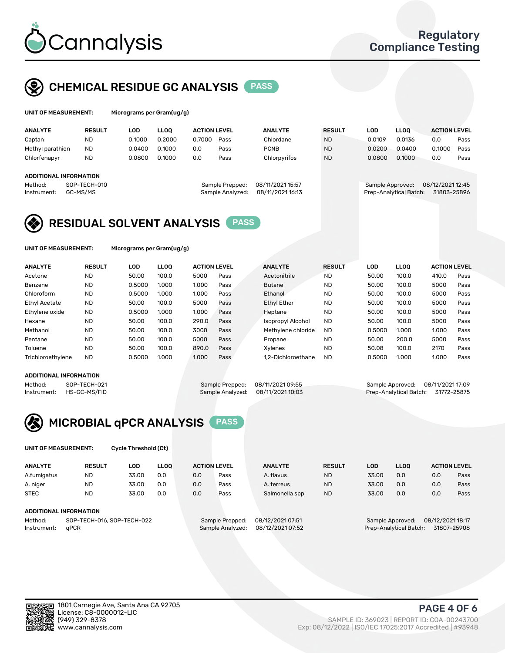

# CHEMICAL RESIDUE GC ANALYSIS PASS

| UNIT OF MEASUREMENT: |               |                      | Micrograms per Gram(ug/g) |                     |                |               |       |                             |               |                     |
|----------------------|---------------|----------------------|---------------------------|---------------------|----------------|---------------|-------|-----------------------------|---------------|---------------------|
| <b>ANALYTE</b>       | <b>RESULT</b> | LOD.                 | LOO.                      | <b>ACTION LEVEL</b> | <b>ANALYTE</b> | <b>RESULT</b> | LOD   | <b>LLOO</b>                 |               | <b>ACTION LEVEL</b> |
|                      | $\cdots$      | $\sim$ $\sim$ $\sim$ | 0.0000                    | 0.7000<br>-         | $\sim$         | $\cdots$      | 0.000 | $\sim$ $\sim$ $\sim$ $\sim$ | $\sim$ $\sim$ |                     |

| Captan                 | <b>ND</b>                | 0.1000 | 0.2000 | 0.7000 | Pass                                | Chlordane                            | <b>ND</b> |  | 0.0109                                     | 0.0136 | 0.0                             | Pass |
|------------------------|--------------------------|--------|--------|--------|-------------------------------------|--------------------------------------|-----------|--|--------------------------------------------|--------|---------------------------------|------|
| Methyl parathion       | <b>ND</b>                | 0.0400 | 0.1000 | 0.0    | Pass                                | <b>PCNB</b>                          | <b>ND</b> |  | 0.0200                                     | 0.0400 | 0.1000                          | Pass |
| Chlorfenapyr           | <b>ND</b>                | 0.0800 | 0.1000 | 0.0    | Pass                                | Chlorpyrifos                         | <b>ND</b> |  | 0.0800                                     | 0.1000 | 0.0                             | Pass |
|                        | ADDITIONAL INFORMATION   |        |        |        |                                     |                                      |           |  |                                            |        |                                 |      |
| Method:<br>Instrument: | SOP-TECH-010<br>GC-MS/MS |        |        |        | Sample Prepped:<br>Sample Analyzed: | 08/11/2021 15:57<br>08/11/2021 16:13 |           |  | Sample Approved:<br>Prep-Analytical Batch: |        | 08/12/2021 12:45<br>31803-25896 |      |

## RESIDUAL SOLVENT ANALYSIS PASS

UNIT OF MEASUREMENT: Micrograms per Gram(ug/g)

| <b>ANALYTE</b>       | <b>RESULT</b> | LOD    | <b>LLOO</b> | <b>ACTION LEVEL</b> |      | <b>ANALYTE</b>           | <b>RESULT</b> | LOD    | LLOO  | <b>ACTION LEVEL</b> |      |
|----------------------|---------------|--------|-------------|---------------------|------|--------------------------|---------------|--------|-------|---------------------|------|
| Acetone              | <b>ND</b>     | 50.00  | 100.0       | 5000                | Pass | Acetonitrile             | <b>ND</b>     | 50.00  | 100.0 | 410.0               | Pass |
| Benzene              | <b>ND</b>     | 0.5000 | 1.000       | 1.000               | Pass | <b>Butane</b>            | <b>ND</b>     | 50.00  | 100.0 | 5000                | Pass |
| Chloroform           | <b>ND</b>     | 0.5000 | 1.000       | 1.000               | Pass | Ethanol                  | <b>ND</b>     | 50.00  | 100.0 | 5000                | Pass |
| <b>Ethyl Acetate</b> | <b>ND</b>     | 50.00  | 100.0       | 5000                | Pass | <b>Ethyl Ether</b>       | <b>ND</b>     | 50.00  | 100.0 | 5000                | Pass |
| Ethylene oxide       | <b>ND</b>     | 0.5000 | 1.000       | 1.000               | Pass | Heptane                  | <b>ND</b>     | 50.00  | 100.0 | 5000                | Pass |
| Hexane               | <b>ND</b>     | 50.00  | 100.0       | 290.0               | Pass | <b>Isopropyl Alcohol</b> | <b>ND</b>     | 50.00  | 100.0 | 5000                | Pass |
| Methanol             | <b>ND</b>     | 50.00  | 100.0       | 3000                | Pass | Methylene chloride       | <b>ND</b>     | 0.5000 | 1.000 | 1.000               | Pass |
| Pentane              | <b>ND</b>     | 50.00  | 100.0       | 5000                | Pass | Propane                  | <b>ND</b>     | 50.00  | 200.0 | 5000                | Pass |
| Toluene              | <b>ND</b>     | 50.00  | 100.0       | 890.0               | Pass | Xvlenes                  | <b>ND</b>     | 50.08  | 100.0 | 2170                | Pass |
| Trichloroethylene    | <b>ND</b>     | 0.5000 | 1.000       | 1.000               | Pass | 1.2-Dichloroethane       | <b>ND</b>     | 0.5000 | 1.000 | 1.000               | Pass |

#### ADDITIONAL INFORMATION

Method: SOP-TECH-021 Sample Prepped: 08/11/2021 09:55 Sample Approved: 08/11/2021 17:09<br>Instrument: HS-GC-MS/FID Sample Analyzed: 08/11/2021 10:03 Prep-Analytical Batch: 31772-25875 Prep-Analytical Batch: 31772-25875



UNIT OF MEASUREMENT: Cycle Threshold (Ct)

| <b>ANALYTE</b> | <b>RESULT</b>              | LOD   | <b>LLOO</b> | <b>ACTION LEVEL</b> |                 | <b>ANALYTE</b>   | <b>RESULT</b> | LOD   | <b>LLOO</b>      |                  | <b>ACTION LEVEL</b> |
|----------------|----------------------------|-------|-------------|---------------------|-----------------|------------------|---------------|-------|------------------|------------------|---------------------|
| A.fumigatus    | <b>ND</b>                  | 33.00 | 0.0         | 0.0                 | Pass            | A. flavus        | <b>ND</b>     | 33.00 | 0.0              | 0.0              | Pass                |
| A. niger       | <b>ND</b>                  | 33.00 | 0.0         | 0.0                 | Pass            | A. terreus       | <b>ND</b>     | 33.00 | 0.0              | 0.0              | Pass                |
| <b>STEC</b>    | <b>ND</b>                  | 33.00 | 0.0         | 0.0                 | Pass            | Salmonella spp   | <b>ND</b>     | 33.00 | 0.0              | 0.0              | Pass                |
|                | ADDITIONAL INFORMATION     |       |             |                     |                 |                  |               |       |                  |                  |                     |
| Method:        | SOP-TECH-016, SOP-TECH-022 |       |             |                     | Sample Prepped: | 08/12/2021 07:51 |               |       | Sample Approved: | 08/12/2021 18:17 |                     |

Instrument: qPCR Sample Analyzed: 08/12/2021 07:52 Prep-Analytical Batch: 31807-25908

PAGE 4 OF 6

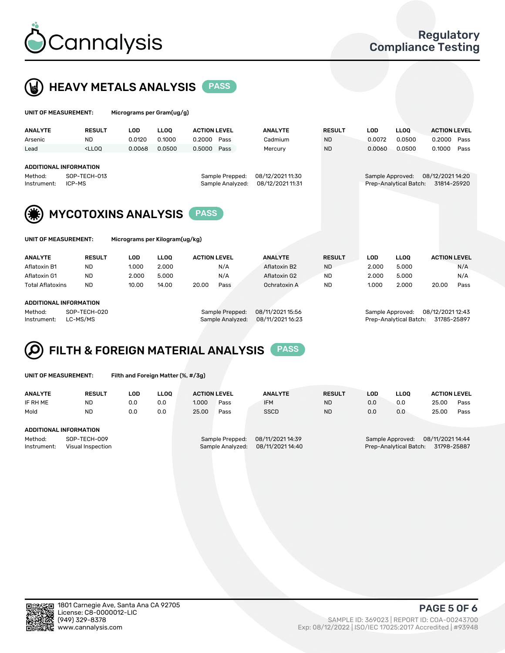



| UNIT OF MEASUREMENT:                                                                |                            | Micrograms per Gram(ug/g)      |             |                                     |                                      |               |                  |                        |                                 |      |
|-------------------------------------------------------------------------------------|----------------------------|--------------------------------|-------------|-------------------------------------|--------------------------------------|---------------|------------------|------------------------|---------------------------------|------|
| <b>ANALYTE</b>                                                                      | <b>RESULT</b>              | <b>LOD</b>                     | <b>LLOO</b> | <b>ACTION LEVEL</b>                 | <b>ANALYTE</b>                       | <b>RESULT</b> | <b>LOD</b>       | <b>LLOO</b>            | <b>ACTION LEVEL</b>             |      |
| Arsenic                                                                             | <b>ND</b>                  | 0.0120                         | 0.1000      | 0.2000<br>Pass                      | Cadmium                              | <b>ND</b>     | 0.0072           | 0.0500                 | 0.2000                          | Pass |
| Lead                                                                                | $<$ LLOO                   | 0.0068                         | 0.0500      | 0.5000<br>Pass                      | Mercury                              | <b>ND</b>     | 0.0060           | 0.0500                 | 0.1000                          | Pass |
| <b>ADDITIONAL INFORMATION</b><br>Method:<br>Instrument:                             | SOP-TECH-013<br>ICP-MS     |                                |             | Sample Prepped:<br>Sample Analyzed: | 08/12/2021 11:30<br>08/12/2021 11:31 |               | Sample Approved: | Prep-Analytical Batch: | 08/12/2021 14:20<br>31814-25920 |      |
| UNIT OF MEASUREMENT:                                                                | <b>MYCOTOXINS ANALYSIS</b> | Micrograms per Kilogram(ug/kg) |             | <b>PASS</b>                         |                                      |               |                  |                        |                                 |      |
| <b>ANALYTE</b>                                                                      | <b>RESULT</b>              | <b>LOD</b>                     | <b>LLOO</b> | <b>ACTION LEVEL</b>                 | <b>ANALYTE</b>                       | <b>RESULT</b> | <b>LOD</b>       | <b>LLOO</b>            | <b>ACTION LEVEL</b>             |      |
| Aflatoxin B1                                                                        | <b>ND</b>                  | 1.000                          | 2.000       | N/A                                 | Aflatoxin B2                         | <b>ND</b>     | 2.000            | 5.000                  |                                 | N/A  |
| Aflatoxin G1                                                                        | <b>ND</b>                  | 2.000                          | 5.000       | N/A                                 | Aflatoxin G2                         | <b>ND</b>     | 2.000            | 5.000                  |                                 | N/A  |
| <b>Total Aflatoxins</b>                                                             | <b>ND</b>                  | 10.00                          | 14.00       | 20.00<br>Pass                       | Ochratoxin A                         | <b>ND</b>     | 1.000            | 2.000                  | 20.00                           | Pass |
| <b>ADDITIONAL INFORMATION</b><br>SOP-TECH-020<br>Method:<br>LC-MS/MS<br>Instrument: |                            |                                |             | Sample Prepped:<br>Sample Analyzed: | 08/11/2021 15:56<br>08/11/2021 16:23 |               | Sample Approved: | Prep-Analytical Batch: | 08/12/2021 12:43<br>31785-25897 |      |

#### FILTH & FOREIGN MATERIAL ANALYSIS PASS Q

UNIT OF MEASUREMENT: Filth and Foreign Matter (%, #/3g)

| <b>ANALYTE</b>                | <b>RESULT</b>                     | LOD | <b>LLOO</b> | <b>ACTION LEVEL</b> |                                     | <b>ANALYTE</b>                       | <b>RESULT</b> | LOD | <b>LLOO</b>                                | <b>ACTION LEVEL</b>             |      |
|-------------------------------|-----------------------------------|-----|-------------|---------------------|-------------------------------------|--------------------------------------|---------------|-----|--------------------------------------------|---------------------------------|------|
| IF RH ME                      | ND                                | 0.0 | 0.0         | 1.000               | Pass                                | <b>IFM</b>                           | <b>ND</b>     | 0.0 | 0.0                                        | 25.00                           | Pass |
| Mold                          | <b>ND</b>                         | 0.0 | 0.0         | 25.00               | Pass                                | <b>SSCD</b>                          | <b>ND</b>     | 0.0 | 0.0                                        | 25.00                           | Pass |
| <b>ADDITIONAL INFORMATION</b> |                                   |     |             |                     |                                     |                                      |               |     |                                            |                                 |      |
| Method:<br>Instrument:        | SOP-TECH-009<br>Visual Inspection |     |             |                     | Sample Prepped:<br>Sample Analyzed: | 08/11/2021 14:39<br>08/11/2021 14:40 |               |     | Sample Approved:<br>Prep-Analytical Batch: | 08/11/2021 14:44<br>31798-25887 |      |